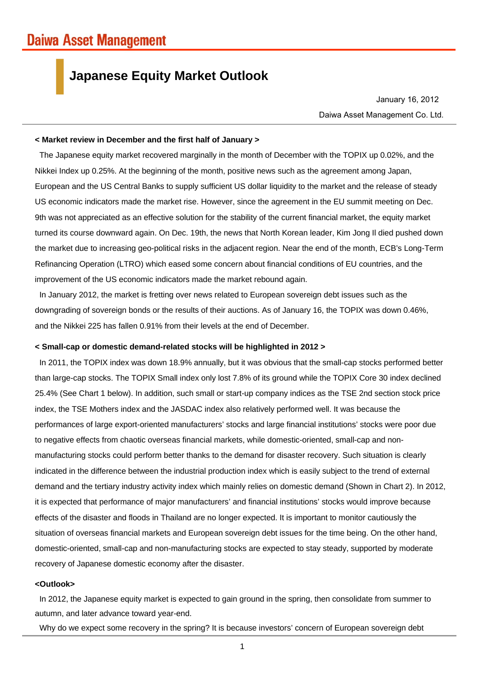## **Japanese Equity Market Outlook**

Daiwa Asset Management Co. Ltd. January 16, 2012

### **< Market review in December and the first half of January >**

The Japanese equity market recovered marginally in the month of December with the TOPIX up 0.02%, and the Nikkei Index up 0.25%. At the beginning of the month, positive news such as the agreement among Japan, European and the US Central Banks to supply sufficient US dollar liquidity to the market and the release of steady US economic indicators made the market rise. However, since the agreement in the EU summit meeting on Dec. 9th was not appreciated as an effective solution for the stability of the current financial market, the equity market turned its course downward again. On Dec. 19th, the news that North Korean leader, Kim Jong Il died pushed down the market due to increasing geo-political risks in the adjacent region. Near the end of the month, ECB's Long-Term Refinancing Operation (LTRO) which eased some concern about financial conditions of EU countries, and the improvement of the US economic indicators made the market rebound again.

In January 2012, the market is fretting over news related to European sovereign debt issues such as the downgrading of sovereign bonds or the results of their auctions. As of January 16, the TOPIX was down 0.46%, and the Nikkei 225 has fallen 0.91% from their levels at the end of December.

#### **< Small-cap or domestic demand-related stocks will be highlighted in 2012 >**

In 2011, the TOPIX index was down 18.9% annually, but it was obvious that the small-cap stocks performed better than large-cap stocks. The TOPIX Small index only lost 7.8% of its ground while the TOPIX Core 30 index declined 25.4% (See Chart 1 below). In addition, such small or start-up company indices as the TSE 2nd section stock price index, the TSE Mothers index and the JASDAC index also relatively performed well. It was because the performances of large export-oriented manufacturers' stocks and large financial institutions' stocks were poor due to negative effects from chaotic overseas financial markets, while domestic-oriented, small-cap and nonmanufacturing stocks could perform better thanks to the demand for disaster recovery. Such situation is clearly indicated in the difference between the industrial production index which is easily subject to the trend of external demand and the tertiary industry activity index which mainly relies on domestic demand (Shown in Chart 2). In 2012, it is expected that performance of major manufacturers' and financial institutions' stocks would improve because effects of the disaster and floods in Thailand are no longer expected. It is important to monitor cautiously the situation of overseas financial markets and European sovereign debt issues for the time being. On the other hand, domestic-oriented, small-cap and non-manufacturing stocks are expected to stay steady, supported by moderate recovery of Japanese domestic economy after the disaster.

### **<Outlook>**

In 2012, the Japanese equity market is expected to gain ground in the spring, then consolidate from summer to autumn, and later advance toward year-end.

Why do we expect some recovery in the spring? It is because investors' concern of European sovereign debt

1